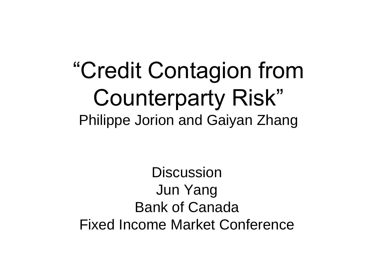#### "Credit Contagion from Counterparty Risk" Philippe Jorion and Gaiyan Zhang

**Discussion** Jun Yang Bank of Canada Fixed Income Market Conference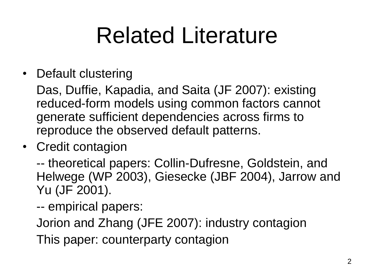#### Related Literature

• Default clustering

Das, Duffie, Kapadia, and Saita (JF 2007): existing reduced-form models using common factors cannot generate sufficient dependencies across firms to reproduce the observed default patterns.

• Credit contagion

-- theoretical papers: Collin-Dufresne, Goldstein, and Helwege (WP 2003), Giesecke (JBF 2004), Jarrow and Yu (JF 2001).

-- empirical papers:

Jorion and Zhang (JFE 2007): industry contagion

This paper: counterparty contagion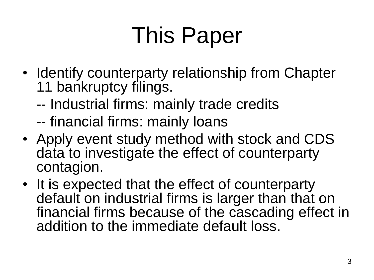## This Paper

- Identify counterparty relationship from Chapter 11 bankruptcy filings.
	- -- Industrial firms: mainly trade credits
	- -- financial firms: mainly loans
- Apply event study method with stock and CDS data to investigate the effect of counterparty contagion.
- It is expected that the effect of counterparty default on industrial firms is larger than that on financial firms because of the cascading effect in addition to the immediate default loss.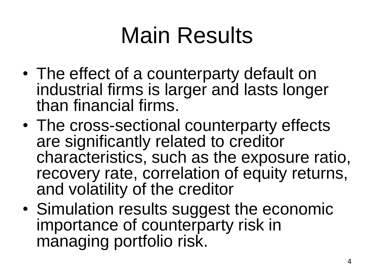## Main Results

- The effect of a counterparty default on industrial firms is larger and lasts longer than financial firms.
- The cross-sectional counterparty effects are significantly related to creditor characteristics, such as the exposure ratio, recovery rate, correlation of equity returns, and volatility of the creditor
- Simulation results suggest the economic importance of counterparty risk in managing portfolio risk.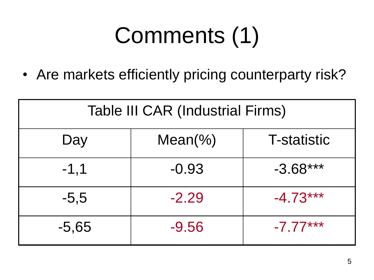• Are markets efficiently pricing counterparty risk?

| <b>Table III CAR (Industrial Firms)</b> |            |                    |
|-----------------------------------------|------------|--------------------|
| Day                                     | $Mean(\%)$ | <b>T-statistic</b> |
| $-1,1$                                  | $-0.93$    | $-3.68***$         |
| $-5,5$                                  | $-2.29$    | $-4.73***$         |
| $-5,65$                                 | $-9.56$    | $-7.77***$         |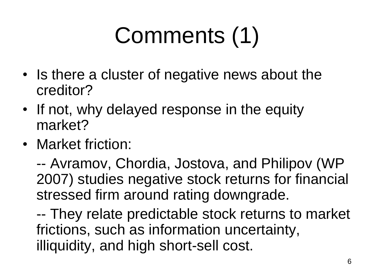- Is there a cluster of negative news about the creditor?
- If not, why delayed response in the equity market?
- Market friction:

-- Avramov, Chordia, Jostova, and Philipov (WP 2007) studies negative stock returns for financial stressed firm around rating downgrade.

-- They relate predictable stock returns to market frictions, such as information uncertainty, illiquidity, and high short-sell cost.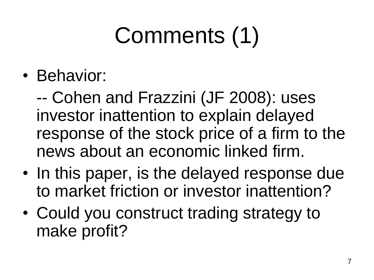• Behavior:

-- Cohen and Frazzini (JF 2008): uses investor inattention to explain delayed response of the stock price of a firm to the news about an economic linked firm.

- In this paper, is the delayed response due to market friction or investor inattention?
- Could you construct trading strategy to make profit?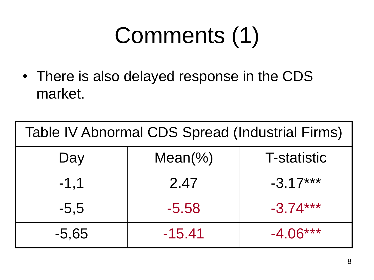• There is also delayed response in the CDS market.

| Table IV Abnormal CDS Spread (Industrial Firms) |            |                    |
|-------------------------------------------------|------------|--------------------|
| Day                                             | $Mean(\%)$ | <b>T-statistic</b> |
| $-1, 1$                                         | 2.47       | $-3.17***$         |
| $-5,5$                                          | $-5.58$    | $-3.74***$         |
| $-5,65$                                         | $-15.41$   | $-4.06***$         |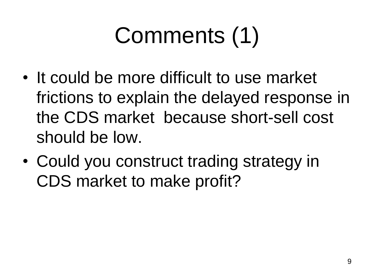- It could be more difficult to use market frictions to explain the delayed response in the CDS market because short-sell cost should be low.
- Could you construct trading strategy in CDS market to make profit?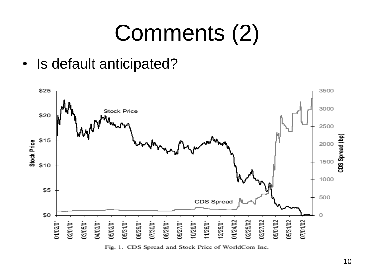• Is default anticipated?



Fig. 1. CDS Spread and Stock Price of WorldCom Inc.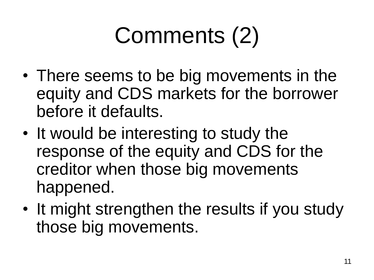- There seems to be big movements in the equity and CDS markets for the borrower before it defaults.
- It would be interesting to study the response of the equity and CDS for the creditor when those big movements happened.
- It might strengthen the results if you study those big movements.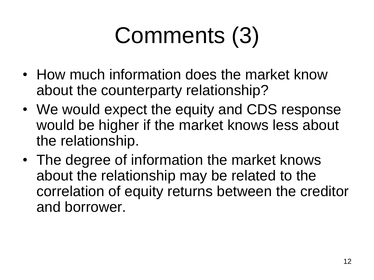- How much information does the market know about the counterparty relationship?
- We would expect the equity and CDS response would be higher if the market knows less about the relationship.
- The degree of information the market knows about the relationship may be related to the correlation of equity returns between the creditor and borrower.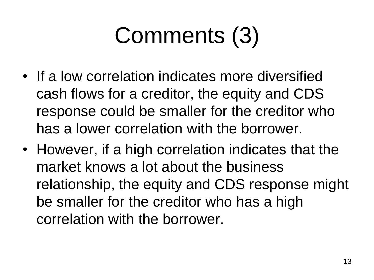- If a low correlation indicates more diversified cash flows for a creditor, the equity and CDS response could be smaller for the creditor who has a lower correlation with the borrower.
- However, if a high correlation indicates that the market knows a lot about the business relationship, the equity and CDS response might be smaller for the creditor who has a high correlation with the borrower.